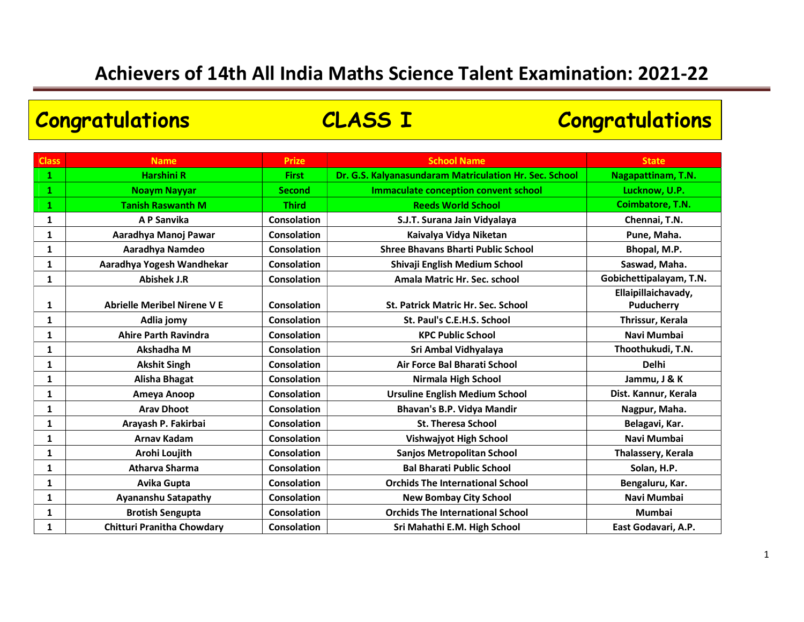### Class Name Research State School Name School Name School Name School Name School Name State State State State 1 Harshini R First Dr. G.S. Kalyanasundaram Matriculation Hr. Sec. School Nagapattinam, T.N. 1 Noaym Nayyar Second Immaculate conception convent school Lucknow, U.P. 1 Tanish Raswanth M Third Reeds World School Coimbatore, T.N. 1 A P Sanvika Regista Service S.J.T. Surana Jain Vidyalaya Regista Service S.J.T. Surana Jain Vidyalaya 1 Aaradhya Manoj Pawar (Consolation | Kaivalya Vidya Niketan | Pune, Maha. 1 Aaradhya Namdeo Consolation Shree Bhavans Bharti Public School Bhopal, M.P. 1 Aaradhya Yogesh Wandhekar (Consolation | Shivaji English Medium School Saswad, Maha. 1 Abishek J.R Consolation Amala Matric Hr. Sec. school Gobichettipalayam, T.N. 1 Abrielle Meribel Nirene V E Consolation St. Patrick Matric Hr. Sec. School Ellaipillaichavady, Puducherry 1 Adlia jomy Consolation St. Paul's C.E.H.S. School Thrissur, Kerala 1 Ahire Parth Ravindra (Consolation | KPC Public School | Navi Mumbai 1 Akshadha M (Consolation | Sri Ambal Vidhyalaya | Thoothukudi, T.N. 1 Akshit Singh Consolation | Consolation | Air Force Bal Bharati School | Delhi 1 Alisha Bhagat Consolation | Consolation | Nirmala High School | Jammu, J & K 1 Ameya Anoop Consolation Ursuline English Medium School Dist. Kannur, Kerala 1 Arav Dhoot Consolation | Consolation | Bhavan's B.P. Vidya Mandir | Nagpur, Maha. 1 Arayash P. Fakirbai | Consolation | St. Theresa School | Belagavi, Kar. 1 Arnav Kadam Navi Consolation | Navi Mumbai Navi Mumbai Navi Mumbai Navi Mumbai 1 Arohi Loujith Consolation | Sanjos Metropolitan School | Thalassery, Kerala 1 Atharva Sharma Consolation | Consolation | Bal Bharati Public School | Solan, H.P. 1 Avika Gupta Consolation | Consolation | Consolation | Consolation | Consolation | Consolation | Consolation | 1 Ayananshu Satapathy Rossolation | New Bombay City School | Navi Mumbai 1 Brotish Sengupta Consolation | Consolation | Crids The International School | Mumbai 1 Chitturi Pranitha Chowdary Consolation | Sri Mahathi E.M. High School | East Godavari, A.P. Congratulations CLASS I Congratulations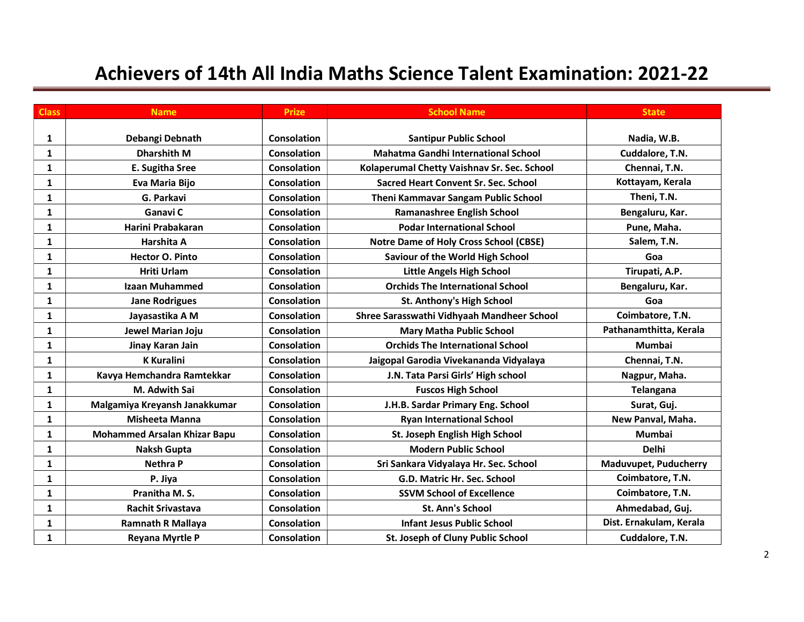| <b>Class</b> | <b>Name</b>                         | <b>Prize</b>       | <b>School Name</b>                          | <b>State</b>                 |
|--------------|-------------------------------------|--------------------|---------------------------------------------|------------------------------|
|              |                                     |                    |                                             |                              |
| 1            | Debangi Debnath                     | <b>Consolation</b> | <b>Santipur Public School</b>               | Nadia, W.B.                  |
| 1            | <b>Dharshith M</b>                  | Consolation        | <b>Mahatma Gandhi International School</b>  | Cuddalore, T.N.              |
| 1            | E. Sugitha Sree                     | Consolation        | Kolaperumal Chetty Vaishnav Sr. Sec. School | Chennai, T.N.                |
| $\mathbf{1}$ | Eva Maria Bijo                      | <b>Consolation</b> | <b>Sacred Heart Convent Sr. Sec. School</b> | Kottayam, Kerala             |
| 1            | G. Parkavi                          | <b>Consolation</b> | Theni Kammavar Sangam Public School         | Theni, T.N.                  |
| $\mathbf{1}$ | Ganavi C                            | <b>Consolation</b> | Ramanashree English School                  | Bengaluru, Kar.              |
| 1            | Harini Prabakaran                   | <b>Consolation</b> | <b>Podar International School</b>           | Pune, Maha.                  |
| 1            | Harshita A                          | <b>Consolation</b> | Notre Dame of Holy Cross School (CBSE)      | Salem, T.N.                  |
| $\mathbf{1}$ | <b>Hector O. Pinto</b>              | <b>Consolation</b> | <b>Saviour of the World High School</b>     | Goa                          |
| 1            | <b>Hriti Urlam</b>                  | <b>Consolation</b> | Little Angels High School                   | Tirupati, A.P.               |
| 1            | <b>Izaan Muhammed</b>               | <b>Consolation</b> | <b>Orchids The International School</b>     | Bengaluru, Kar.              |
| 1            | <b>Jane Rodrigues</b>               | <b>Consolation</b> | St. Anthony's High School                   | Goa                          |
| $\mathbf{1}$ | Jayasastika A M                     | <b>Consolation</b> | Shree Sarasswathi Vidhyaah Mandheer School  | Coimbatore, T.N.             |
| $\mathbf{1}$ | Jewel Marian Joju                   | <b>Consolation</b> | <b>Mary Matha Public School</b>             | Pathanamthitta, Kerala       |
| $\mathbf{1}$ | Jinay Karan Jain                    | <b>Consolation</b> | <b>Orchids The International School</b>     | <b>Mumbai</b>                |
| $\mathbf{1}$ | <b>K</b> Kuralini                   | <b>Consolation</b> | Jaigopal Garodia Vivekananda Vidyalaya      | Chennai, T.N.                |
| $\mathbf{1}$ | Kavya Hemchandra Ramtekkar          | <b>Consolation</b> | J.N. Tata Parsi Girls' High school          | Nagpur, Maha.                |
| 1            | M. Adwith Sai                       | <b>Consolation</b> | <b>Fuscos High School</b>                   | <b>Telangana</b>             |
| $\mathbf{1}$ | Malgamiya Kreyansh Janakkumar       | <b>Consolation</b> | J.H.B. Sardar Primary Eng. School           | Surat, Guj.                  |
| $\mathbf{1}$ | <b>Misheeta Manna</b>               | <b>Consolation</b> | <b>Ryan International School</b>            | New Panval, Maha.            |
| 1            | <b>Mohammed Arsalan Khizar Bapu</b> | <b>Consolation</b> | St. Joseph English High School              | <b>Mumbai</b>                |
| $\mathbf{1}$ | <b>Naksh Gupta</b>                  | <b>Consolation</b> | <b>Modern Public School</b>                 | <b>Delhi</b>                 |
| $\mathbf{1}$ | <b>Nethra P</b>                     | <b>Consolation</b> | Sri Sankara Vidyalaya Hr. Sec. School       | <b>Maduvupet, Puducherry</b> |
| $\mathbf{1}$ | P. Jiya                             | <b>Consolation</b> | G.D. Matric Hr. Sec. School                 | Coimbatore, T.N.             |
| $\mathbf{1}$ | Pranitha M.S.                       | <b>Consolation</b> | <b>SSVM School of Excellence</b>            | Coimbatore, T.N.             |
| $\mathbf{1}$ | <b>Rachit Srivastava</b>            | <b>Consolation</b> | St. Ann's School                            | Ahmedabad, Guj.              |
| $\mathbf{1}$ | <b>Ramnath R Mallaya</b>            | <b>Consolation</b> | <b>Infant Jesus Public School</b>           | Dist. Ernakulam, Kerala      |
| $\mathbf{1}$ | <b>Reyana Myrtle P</b>              | <b>Consolation</b> | St. Joseph of Cluny Public School           | Cuddalore, T.N.              |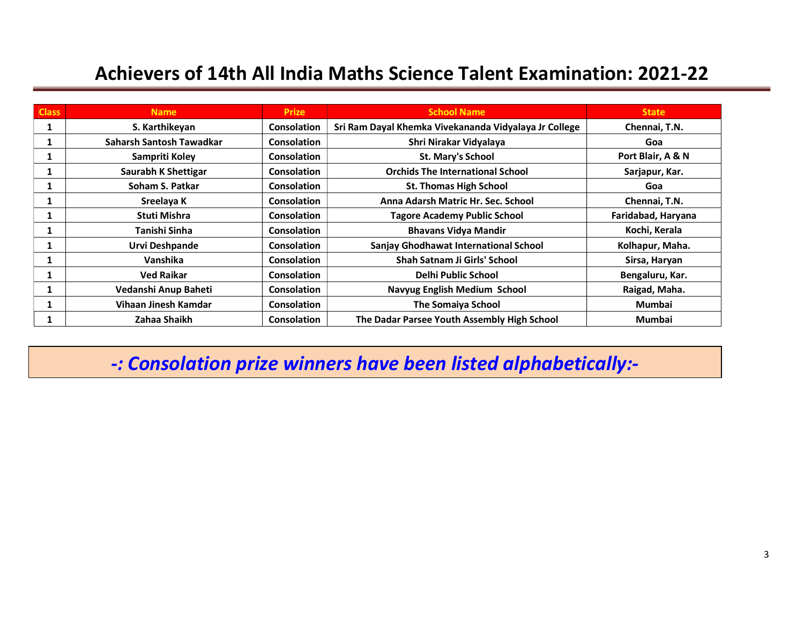| <b>Class</b> | <b>Name</b>              | <b>Prize</b>       | <b>School Name</b>                                    | <b>State</b>       |
|--------------|--------------------------|--------------------|-------------------------------------------------------|--------------------|
| 1            | S. Karthikeyan           | <b>Consolation</b> | Sri Ram Dayal Khemka Vivekananda Vidyalaya Jr College | Chennai, T.N.      |
|              | Saharsh Santosh Tawadkar | <b>Consolation</b> | Shri Nirakar Vidyalaya                                | Goa                |
|              | Sampriti Koley           | <b>Consolation</b> | St. Mary's School                                     | Port Blair, A & N  |
|              | Saurabh K Shettigar      | <b>Consolation</b> | <b>Orchids The International School</b>               | Sarjapur, Kar.     |
|              | Soham S. Patkar          | <b>Consolation</b> | <b>St. Thomas High School</b>                         | Goa                |
|              | Sreelaya K               | <b>Consolation</b> | Anna Adarsh Matric Hr. Sec. School                    | Chennai, T.N.      |
|              | Stuti Mishra             | <b>Consolation</b> | <b>Tagore Academy Public School</b>                   | Faridabad, Haryana |
|              | Tanishi Sinha            | <b>Consolation</b> | <b>Bhavans Vidya Mandir</b>                           | Kochi, Kerala      |
|              | Urvi Deshpande           | <b>Consolation</b> | Sanjay Ghodhawat International School                 | Kolhapur, Maha.    |
|              | Vanshika                 | <b>Consolation</b> | <b>Shah Satnam Ji Girls' School</b>                   | Sirsa, Haryan      |
|              | <b>Ved Raikar</b>        | <b>Consolation</b> | Delhi Public School                                   | Bengaluru, Kar.    |
|              | Vedanshi Anup Baheti     | <b>Consolation</b> | <b>Navyug English Medium School</b>                   | Raigad, Maha.      |
|              | Vihaan Jinesh Kamdar     | <b>Consolation</b> | <b>The Somaiya School</b>                             | Mumbai             |
|              | Zahaa Shaikh             | <b>Consolation</b> | The Dadar Parsee Youth Assembly High School           | Mumbai             |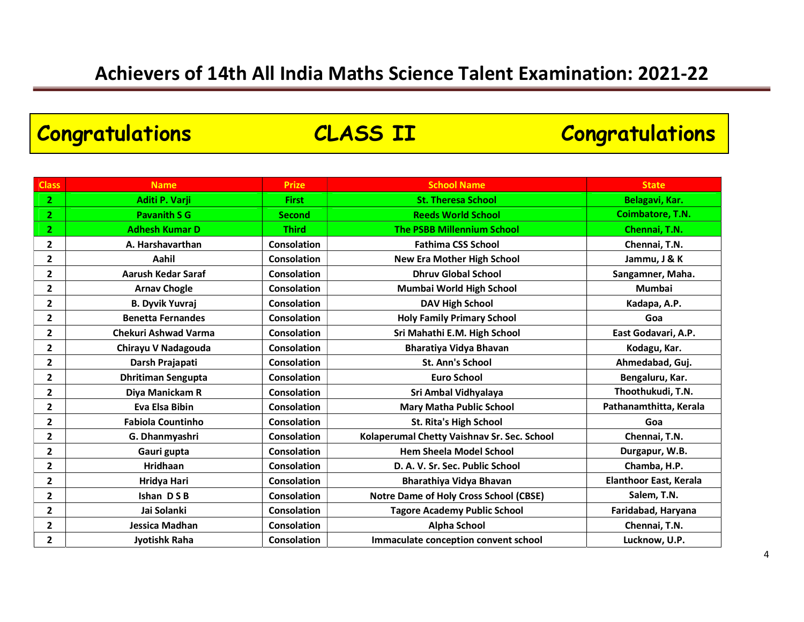| <b>Congratulations</b> |                             |                    | <b>CLASS II</b>                               | <b>Congratulations</b>        |
|------------------------|-----------------------------|--------------------|-----------------------------------------------|-------------------------------|
|                        |                             |                    |                                               |                               |
| <b>Class</b>           | <b>Name</b>                 | <b>Prize</b>       | <b>School Name</b>                            | <b>State</b>                  |
| $\mathbf{2}$           | Aditi P. Varji              | <b>First</b>       | <b>St. Theresa School</b>                     | Belagavi, Kar.                |
| $\mathbf{2}$           | <b>Pavanith S G</b>         | <b>Second</b>      | <b>Reeds World School</b>                     | Coimbatore, T.N.              |
| $\mathbf{2}$           | <b>Adhesh Kumar D</b>       | <b>Third</b>       | <b>The PSBB Millennium School</b>             | Chennai, T.N.                 |
| 2                      | A. Harshavarthan            | <b>Consolation</b> | <b>Fathima CSS School</b>                     | Chennai, T.N.                 |
| 2                      | Aahil                       | <b>Consolation</b> | <b>New Era Mother High School</b>             | Jammu, J & K                  |
| $\mathbf{2}$           | <b>Aarush Kedar Saraf</b>   | <b>Consolation</b> | <b>Dhruv Global School</b>                    | Sangamner, Maha.              |
| 2                      | <b>Arnav Chogle</b>         | <b>Consolation</b> | Mumbai World High School                      | <b>Mumbai</b>                 |
| 2                      | <b>B. Dyvik Yuvraj</b>      | <b>Consolation</b> | <b>DAV High School</b>                        | Kadapa, A.P.                  |
| 2                      | <b>Benetta Fernandes</b>    | <b>Consolation</b> | <b>Holy Family Primary School</b>             | Goa                           |
| 2                      | <b>Chekuri Ashwad Varma</b> | <b>Consolation</b> | Sri Mahathi E.M. High School                  | East Godavari, A.P.           |
| $\mathbf{2}$           | Chirayu V Nadagouda         | <b>Consolation</b> | Bharatiya Vidya Bhavan                        | Kodagu, Kar.                  |
| $\mathbf{2}$           | Darsh Prajapati             | <b>Consolation</b> | St. Ann's School                              | Ahmedabad, Guj.               |
| 2                      | <b>Dhritiman Sengupta</b>   | <b>Consolation</b> | <b>Euro School</b>                            | Bengaluru, Kar.               |
| 2                      | Diya Manickam R             | <b>Consolation</b> | Sri Ambal Vidhyalaya                          | Thoothukudi, T.N.             |
| 2                      | <b>Eva Elsa Bibin</b>       | <b>Consolation</b> | <b>Mary Matha Public School</b>               | Pathanamthitta, Kerala        |
| $\mathbf{2}$           | <b>Fabiola Countinho</b>    | Consolation        | <b>St. Rita's High School</b>                 | Goa                           |
| $\mathbf{2}$           | G. Dhanmyashri              | <b>Consolation</b> | Kolaperumal Chetty Vaishnav Sr. Sec. School   | Chennai, T.N.                 |
| 2                      | Gauri gupta                 | <b>Consolation</b> | <b>Hem Sheela Model School</b>                | Durgapur, W.B.                |
| $\mathbf{2}$           | Hridhaan                    | Consolation        | D. A. V. Sr. Sec. Public School               | Chamba, H.P.                  |
| 2                      | Hridya Hari                 | <b>Consolation</b> | Bharathiya Vidya Bhavan                       | <b>Elanthoor East, Kerala</b> |
| $\mathbf{2}$           | Ishan DSB                   | <b>Consolation</b> | <b>Notre Dame of Holy Cross School (CBSE)</b> | Salem, T.N.                   |
| $\mathbf{2}$           | Jai Solanki                 | <b>Consolation</b> | <b>Tagore Academy Public School</b>           | Faridabad, Haryana            |
| 2                      | Jessica Madhan              | <b>Consolation</b> | <b>Alpha School</b>                           | Chennai, T.N.                 |
| $\mathbf{2}$           | Jyotishk Raha               | <b>Consolation</b> | Immaculate conception convent school          | Lucknow, U.P.                 |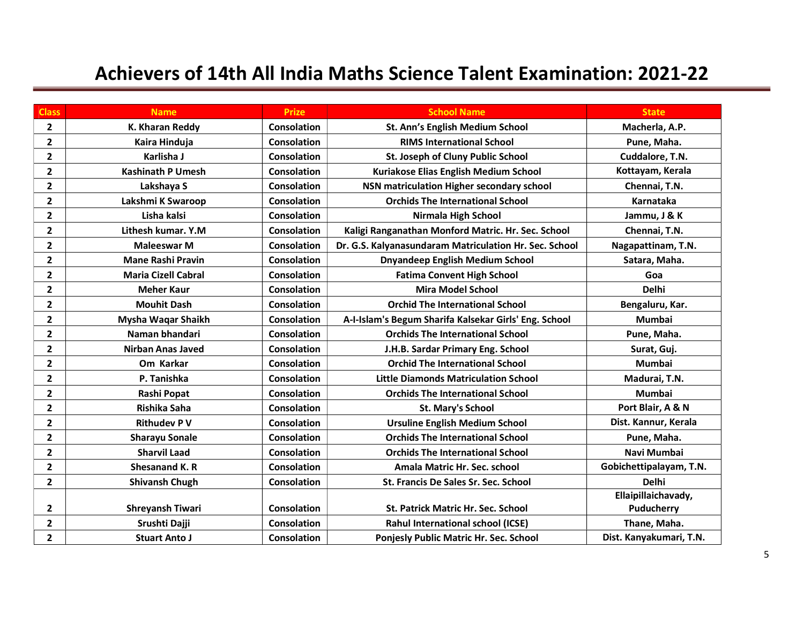| <b>Class</b>            | <b>Name</b>                | <b>Prize</b>       | <b>School Name</b>                                     | <b>State</b>            |
|-------------------------|----------------------------|--------------------|--------------------------------------------------------|-------------------------|
| $\overline{2}$          | K. Kharan Reddy            | <b>Consolation</b> | St. Ann's English Medium School                        | Macherla, A.P.          |
| $\mathbf{2}$            | Kaira Hinduja              | <b>Consolation</b> | <b>RIMS International School</b>                       | Pune, Maha.             |
| $\overline{2}$          | Karlisha J                 | <b>Consolation</b> | St. Joseph of Cluny Public School                      | Cuddalore, T.N.         |
| $\overline{\mathbf{c}}$ | <b>Kashinath P Umesh</b>   | <b>Consolation</b> | Kuriakose Elias English Medium School                  | Kottayam, Kerala        |
| $\mathbf{2}$            | Lakshaya S                 | <b>Consolation</b> | NSN matriculation Higher secondary school              | Chennai, T.N.           |
| $\overline{2}$          | Lakshmi K Swaroop          | <b>Consolation</b> | <b>Orchids The International School</b>                | Karnataka               |
| $\mathbf{2}$            | Lisha kalsi                | <b>Consolation</b> | Nirmala High School                                    | Jammu, J & K            |
| $\overline{2}$          | Lithesh kumar, Y.M.        | <b>Consolation</b> | Kaligi Ranganathan Monford Matric. Hr. Sec. School     | Chennai, T.N.           |
| $\mathbf{2}$            | <b>Maleeswar M</b>         | <b>Consolation</b> | Dr. G.S. Kalyanasundaram Matriculation Hr. Sec. School | Nagapattinam, T.N.      |
| $\mathbf{2}$            | <b>Mane Rashi Pravin</b>   | <b>Consolation</b> | <b>Dnyandeep English Medium School</b>                 | Satara, Maha.           |
| $\mathbf{2}$            | <b>Maria Cizell Cabral</b> | <b>Consolation</b> | <b>Fatima Convent High School</b>                      | Goa                     |
| $\mathbf{2}$            | <b>Meher Kaur</b>          | Consolation        | <b>Mira Model School</b>                               | <b>Delhi</b>            |
| $\mathbf{2}$            | <b>Mouhit Dash</b>         | <b>Consolation</b> | <b>Orchid The International School</b>                 | Bengaluru, Kar.         |
| $\overline{\mathbf{2}}$ | Mysha Waqar Shaikh         | <b>Consolation</b> | A-I-Islam's Begum Sharifa Kalsekar Girls' Eng. School  | <b>Mumbai</b>           |
| $\mathbf{2}$            | Naman bhandari             | <b>Consolation</b> | <b>Orchids The International School</b>                | Pune, Maha.             |
| 2                       | <b>Nirban Anas Javed</b>   | <b>Consolation</b> | J.H.B. Sardar Primary Eng. School                      | Surat, Guj.             |
| $\mathbf{2}$            | Om Karkar                  | <b>Consolation</b> | <b>Orchid The International School</b>                 | <b>Mumbai</b>           |
| $\overline{\mathbf{c}}$ | P. Tanishka                | <b>Consolation</b> | <b>Little Diamonds Matriculation School</b>            | Madurai, T.N.           |
| $\mathbf{2}$            | Rashi Popat                | Consolation        | <b>Orchids The International School</b>                | <b>Mumbai</b>           |
| $\mathbf{2}$            | Rishika Saha               | <b>Consolation</b> | <b>St. Mary's School</b>                               | Port Blair, A & N       |
| $\mathbf{2}$            | <b>Rithudev P V</b>        | <b>Consolation</b> | <b>Ursuline English Medium School</b>                  | Dist. Kannur, Kerala    |
| $\overline{\mathbf{2}}$ | <b>Sharayu Sonale</b>      | <b>Consolation</b> | <b>Orchids The International School</b>                | Pune, Maha.             |
| $\overline{\mathbf{2}}$ | <b>Sharvil Laad</b>        | <b>Consolation</b> | <b>Orchids The International School</b>                | Navi Mumbai             |
| $\overline{\mathbf{c}}$ | <b>Shesanand K. R</b>      | <b>Consolation</b> | Amala Matric Hr. Sec. school                           | Gobichettipalayam, T.N. |
| $\mathbf{2}$            | <b>Shivansh Chugh</b>      | <b>Consolation</b> | <b>St. Francis De Sales Sr. Sec. School</b>            | <b>Delhi</b>            |
|                         |                            |                    |                                                        | Ellaipillaichavady,     |
| 2                       | <b>Shreyansh Tiwari</b>    | <b>Consolation</b> | St. Patrick Matric Hr. Sec. School                     | Puducherry              |
| $\mathbf{2}$            | Srushti Dajji              | <b>Consolation</b> | Rahul International school (ICSE)                      | Thane, Maha.            |
| $\overline{2}$          | <b>Stuart Anto J</b>       | <b>Consolation</b> | Ponjesly Public Matric Hr. Sec. School                 | Dist. Kanyakumari, T.N. |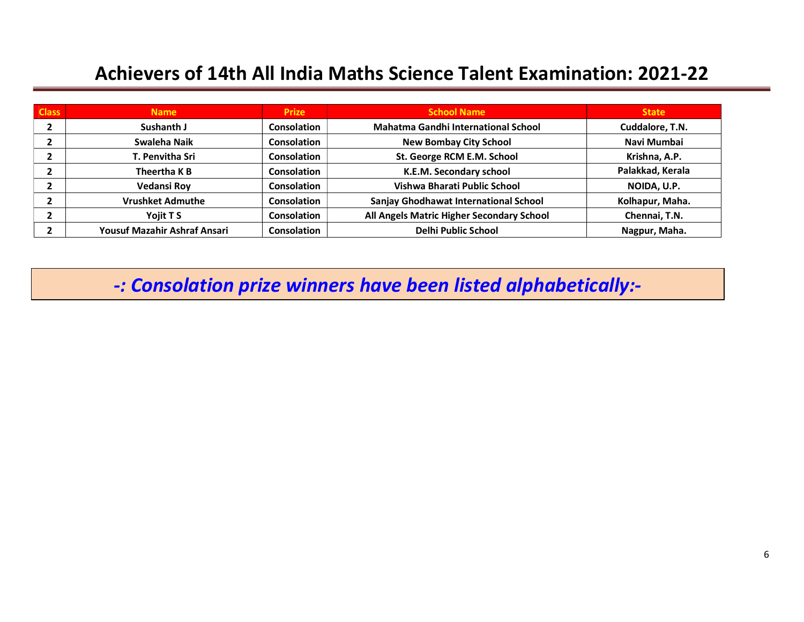| <b>Class</b> | <b>Name</b>                  | <b>Prize</b>       | <b>School Name</b>                        | <b>State</b>     |
|--------------|------------------------------|--------------------|-------------------------------------------|------------------|
|              | Sushanth J                   | <b>Consolation</b> | Mahatma Gandhi International School       | Cuddalore, T.N.  |
|              | Swaleha Naik                 | <b>Consolation</b> | <b>New Bombay City School</b>             | Navi Mumbai      |
|              | <b>T. Penvitha Sri</b>       | <b>Consolation</b> | St. George RCM E.M. School                | Krishna, A.P.    |
|              | Theertha K B                 | Consolation        | K.E.M. Secondary school                   | Palakkad, Kerala |
|              | <b>Vedansi Roy</b>           | <b>Consolation</b> | Vishwa Bharati Public School              | NOIDA, U.P.      |
|              | <b>Vrushket Admuthe</b>      | <b>Consolation</b> | Sanjay Ghodhawat International School     | Kolhapur, Maha.  |
|              | Yojit T S                    | <b>Consolation</b> | All Angels Matric Higher Secondary School | Chennai, T.N.    |
|              | Yousuf Mazahir Ashraf Ansari | <b>Consolation</b> | <b>Delhi Public School</b>                | Nagpur, Maha.    |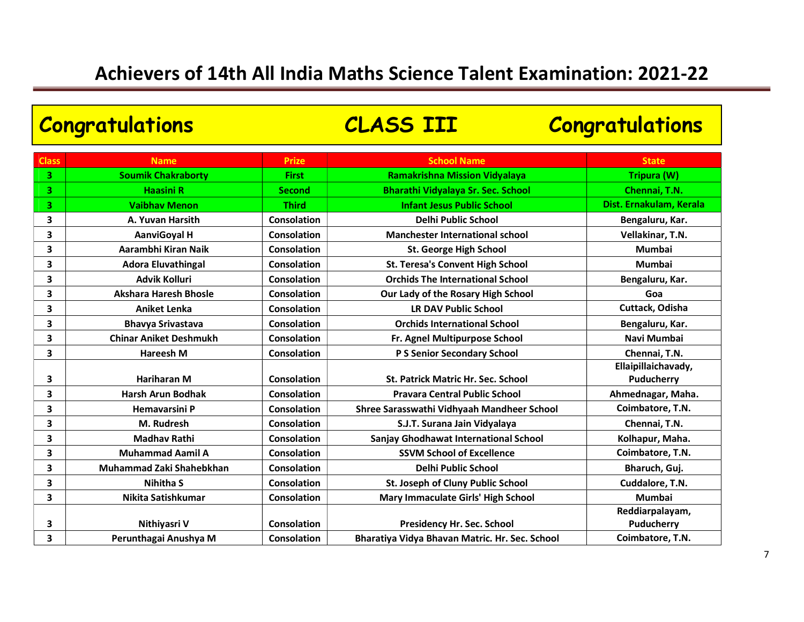| <b>Congratulations</b> |                               |                    | <b>CLASS III</b>                               | <b>Congratulations</b>            |
|------------------------|-------------------------------|--------------------|------------------------------------------------|-----------------------------------|
| <b>Class</b>           | <b>Name</b>                   | <b>Prize</b>       | <b>School Name</b>                             | <b>State</b>                      |
| 3                      | <b>Soumik Chakraborty</b>     | <b>First</b>       | <b>Ramakrishna Mission Vidyalaya</b>           | Tripura (W)                       |
| 3                      | <b>Haasini R</b>              | <b>Second</b>      | Bharathi Vidyalaya Sr. Sec. School             | Chennai, T.N.                     |
| 3                      | <b>Vaibhav Menon</b>          | <b>Third</b>       | <b>Infant Jesus Public School</b>              | Dist. Ernakulam, Kerala           |
| 3                      | A. Yuvan Harsith              | <b>Consolation</b> | <b>Delhi Public School</b>                     | Bengaluru, Kar.                   |
| 3                      | <b>AanviGoyal H</b>           | <b>Consolation</b> | <b>Manchester International school</b>         | Vellakinar, T.N.                  |
| 3                      | Aarambhi Kiran Naik           | Consolation        | <b>St. George High School</b>                  | <b>Mumbai</b>                     |
| 3                      | <b>Adora Eluvathingal</b>     | <b>Consolation</b> | <b>St. Teresa's Convent High School</b>        | <b>Mumbai</b>                     |
| 3                      | <b>Advik Kolluri</b>          | <b>Consolation</b> | <b>Orchids The International School</b>        | Bengaluru, Kar.                   |
| 3                      | <b>Akshara Haresh Bhosle</b>  | <b>Consolation</b> | Our Lady of the Rosary High School             | Goa                               |
| 3                      | <b>Aniket Lenka</b>           | Consolation        | <b>LR DAV Public School</b>                    | Cuttack, Odisha                   |
| 3                      | <b>Bhavya Srivastava</b>      | <b>Consolation</b> | <b>Orchids International School</b>            | Bengaluru, Kar.                   |
| 3                      | <b>Chinar Aniket Deshmukh</b> | <b>Consolation</b> | Fr. Agnel Multipurpose School                  | Navi Mumbai                       |
| 3                      | <b>Hareesh M</b>              | Consolation        | P S Senior Secondary School                    | Chennai, T.N.                     |
| 3                      | <b>Hariharan M</b>            | <b>Consolation</b> | St. Patrick Matric Hr. Sec. School             | Ellaipillaichavady,<br>Puducherry |
| 3                      | <b>Harsh Arun Bodhak</b>      | Consolation        | <b>Pravara Central Public School</b>           | Ahmednagar, Maha.                 |
| 3                      | <b>Hemavarsini P</b>          | Consolation        | Shree Sarasswathi Vidhyaah Mandheer School     | Coimbatore, T.N.                  |
| 3                      | M. Rudresh                    | <b>Consolation</b> | S.J.T. Surana Jain Vidyalaya                   | Chennai, T.N.                     |
| 3                      | <b>Madhav Rathi</b>           | <b>Consolation</b> | <b>Sanjay Ghodhawat International School</b>   | Kolhapur, Maha.                   |
| 3                      | <b>Muhammad Aamil A</b>       | <b>Consolation</b> | <b>SSVM School of Excellence</b>               | Coimbatore, T.N.                  |
| 3                      | Muhammad Zaki Shahebkhan      | <b>Consolation</b> | <b>Delhi Public School</b>                     | Bharuch, Guj.                     |
| 3                      | <b>Nihitha S</b>              | <b>Consolation</b> | St. Joseph of Cluny Public School              | Cuddalore, T.N.                   |
| 3                      | Nikita Satishkumar            | <b>Consolation</b> | Mary Immaculate Girls' High School             | <b>Mumbai</b>                     |
| 3                      | Nithiyasri V                  | <b>Consolation</b> | <b>Presidency Hr. Sec. School</b>              | Reddiarpalayam,<br>Puducherry     |
| 3                      | Perunthagai Anushya M         | <b>Consolation</b> | Bharatiya Vidya Bhavan Matric. Hr. Sec. School | Coimbatore, T.N.                  |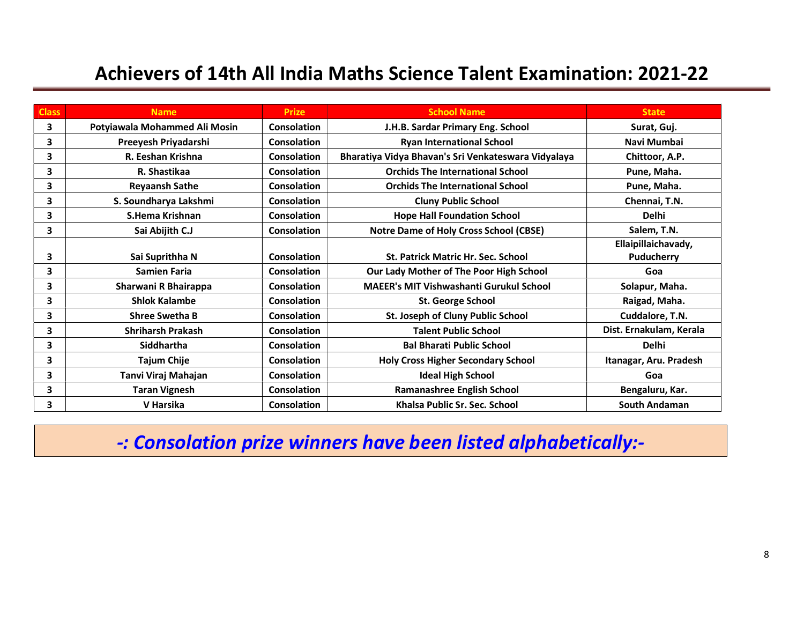| <b>Class</b> | <b>Name</b>                   | <b>Prize</b>       | <b>School Name</b>                                  | <b>State</b>            |
|--------------|-------------------------------|--------------------|-----------------------------------------------------|-------------------------|
| 3            | Potyiawala Mohammed Ali Mosin | Consolation        | J.H.B. Sardar Primary Eng. School                   | Surat, Guj.             |
| 3            | Preeyesh Priyadarshi          | Consolation        | <b>Ryan International School</b>                    | Navi Mumbai             |
| 3            | R. Eeshan Krishna             | Consolation        | Bharatiya Vidya Bhavan's Sri Venkateswara Vidyalaya | Chittoor, A.P.          |
| 3            | R. Shastikaa                  | Consolation        | <b>Orchids The International School</b>             | Pune, Maha.             |
| 3            | <b>Reyaansh Sathe</b>         | Consolation        | <b>Orchids The International School</b>             | Pune, Maha.             |
| 3            | S. Soundharya Lakshmi         | Consolation        | <b>Cluny Public School</b>                          | Chennai, T.N.           |
| 3            | S.Hema Krishnan               | <b>Consolation</b> | <b>Hope Hall Foundation School</b>                  | <b>Delhi</b>            |
| 3            | Sai Abijith C.J               | <b>Consolation</b> | <b>Notre Dame of Holy Cross School (CBSE)</b>       | Salem, T.N.             |
|              |                               |                    |                                                     | Ellaipillaichavady,     |
| 3            | Sai Suprithha N               | Consolation        | <b>St. Patrick Matric Hr. Sec. School</b>           | Puducherry              |
| 3            | <b>Samien Faria</b>           | Consolation        | Our Lady Mother of The Poor High School             | Goa                     |
| 3            | Sharwani R Bhairappa          | Consolation        | <b>MAEER's MIT Vishwashanti Gurukul School</b>      | Solapur, Maha.          |
| 3            | <b>Shlok Kalambe</b>          | Consolation        | St. George School                                   | Raigad, Maha.           |
| 3            | <b>Shree Swetha B</b>         | <b>Consolation</b> | St. Joseph of Cluny Public School                   | Cuddalore, T.N.         |
| 3            | <b>Shriharsh Prakash</b>      | Consolation        | <b>Talent Public School</b>                         | Dist. Ernakulam, Kerala |
| 3            | Siddhartha                    | Consolation        | <b>Bal Bharati Public School</b>                    | <b>Delhi</b>            |
| 3            | <b>Tajum Chije</b>            | Consolation        | <b>Holy Cross Higher Secondary School</b>           | Itanagar, Aru. Pradesh  |
| 3            | Tanvi Viraj Mahajan           | <b>Consolation</b> | <b>Ideal High School</b>                            | Goa                     |
| 3            | <b>Taran Vignesh</b>          | Consolation        | Ramanashree English School                          | Bengaluru, Kar.         |
| 3            | V Harsika                     | <b>Consolation</b> | Khalsa Public Sr. Sec. School                       | <b>South Andaman</b>    |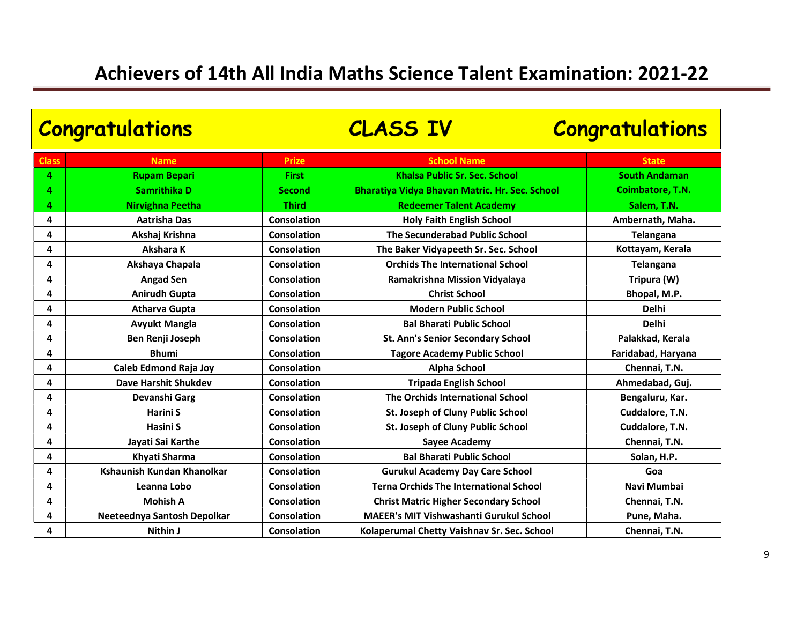| <b>Congratulations</b> |                             | <b>CLASS IV</b>    | <b>Congratulations</b>                         |                         |
|------------------------|-----------------------------|--------------------|------------------------------------------------|-------------------------|
| <b>Class</b>           | <b>Name</b>                 | <b>Prize</b>       | <b>School Name</b>                             | <b>State</b>            |
| 4                      | <b>Rupam Bepari</b>         | <b>First</b>       | <b>Khalsa Public Sr. Sec. School</b>           | <b>South Andaman</b>    |
| 4                      | Samrithika D                | <b>Second</b>      | Bharatiya Vidya Bhavan Matric. Hr. Sec. School | <b>Coimbatore, T.N.</b> |
| 4                      | <b>Nirvighna Peetha</b>     | <b>Third</b>       | <b>Redeemer Talent Academy</b>                 | Salem, T.N.             |
| 4                      | <b>Aatrisha Das</b>         | Consolation        | <b>Holy Faith English School</b>               | Ambernath, Maha.        |
| 4                      | Akshaj Krishna              | Consolation        | The Secunderabad Public School                 | <b>Telangana</b>        |
| 4                      | Akshara K                   | Consolation        | The Baker Vidyapeeth Sr. Sec. School           | Kottayam, Kerala        |
| 4                      | Akshaya Chapala             | Consolation        | <b>Orchids The International School</b>        | <b>Telangana</b>        |
| 4                      | <b>Angad Sen</b>            | Consolation        | Ramakrishna Mission Vidyalaya                  | Tripura (W)             |
| 4                      | <b>Anirudh Gupta</b>        | Consolation        | <b>Christ School</b>                           | Bhopal, M.P.            |
| 4                      | <b>Atharva Gupta</b>        | Consolation        | <b>Modern Public School</b>                    | <b>Delhi</b>            |
| 4                      | <b>Avyukt Mangla</b>        | Consolation        | <b>Bal Bharati Public School</b>               | <b>Delhi</b>            |
| 4                      | Ben Renji Joseph            | Consolation        | <b>St. Ann's Senior Secondary School</b>       | Palakkad, Kerala        |
| 4                      | <b>Bhumi</b>                | Consolation        | <b>Tagore Academy Public School</b>            | Faridabad, Haryana      |
| 4                      | Caleb Edmond Raja Joy       | Consolation        | Alpha School                                   | Chennai, T.N.           |
| 4                      | <b>Dave Harshit Shukdev</b> | Consolation        | <b>Tripada English School</b>                  | Ahmedabad, Guj.         |
| 4                      | Devanshi Garg               | Consolation        | The Orchids International School               | Bengaluru, Kar.         |
| 4                      | <b>Harini S</b>             | <b>Consolation</b> | St. Joseph of Cluny Public School              | Cuddalore, T.N.         |
| 4                      | Hasini S                    | Consolation        | St. Joseph of Cluny Public School              | Cuddalore, T.N.         |
| 4                      | Jayati Sai Karthe           | Consolation        | <b>Sayee Academy</b>                           | Chennai, T.N.           |
| 4                      | Khyati Sharma               | Consolation        | <b>Bal Bharati Public School</b>               | Solan, H.P.             |
| 4                      | Kshaunish Kundan Khanolkar  | Consolation        | <b>Gurukul Academy Day Care School</b>         | Goa                     |
| 4                      | Leanna Lobo                 | Consolation        | <b>Terna Orchids The International School</b>  | Navi Mumbai             |
| 4                      | <b>Mohish A</b>             | Consolation        | <b>Christ Matric Higher Secondary School</b>   | Chennai, T.N.           |
| 4                      | Neeteednya Santosh Depolkar | Consolation        | <b>MAEER's MIT Vishwashanti Gurukul School</b> | Pune, Maha.             |
| 4                      | Nithin J                    | Consolation        | Kolaperumal Chetty Vaishnav Sr. Sec. School    | Chennai, T.N.           |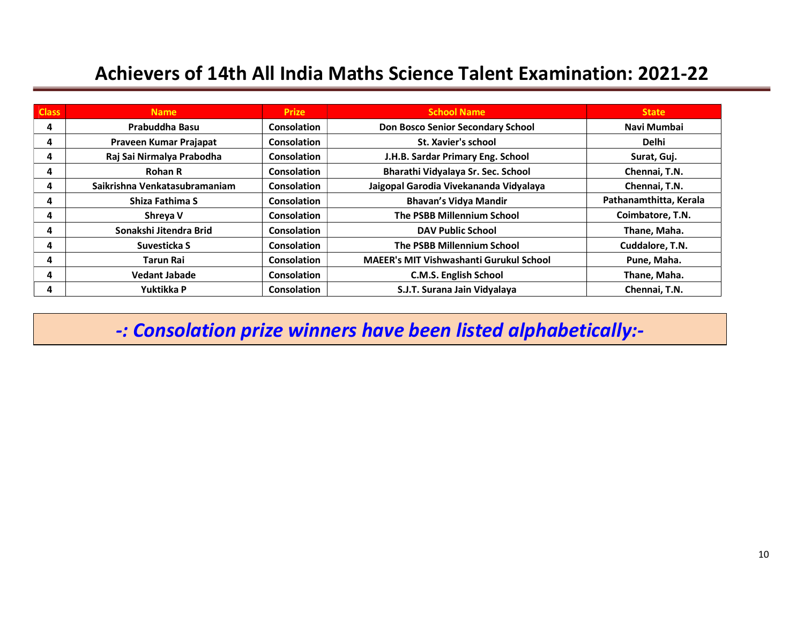| <b>Class</b> | <b>Name</b>                   | <b>Prize</b>       | <b>School Name</b>                             | <b>State</b>           |
|--------------|-------------------------------|--------------------|------------------------------------------------|------------------------|
| 4            | Prabuddha Basu                | <b>Consolation</b> | <b>Don Bosco Senior Secondary School</b>       | Navi Mumbai            |
| 4            | Praveen Kumar Prajapat        | Consolation        | St. Xavier's school                            | <b>Delhi</b>           |
| 4            | Raj Sai Nirmalya Prabodha     | <b>Consolation</b> | J.H.B. Sardar Primary Eng. School              | Surat, Guj.            |
| 4            | <b>Rohan R</b>                | <b>Consolation</b> | Bharathi Vidyalaya Sr. Sec. School             | Chennai, T.N.          |
| 4            | Saikrishna Venkatasubramaniam | Consolation        | Jaigopal Garodia Vivekananda Vidyalaya         | Chennai, T.N.          |
| 4            | Shiza Fathima S               | Consolation        | <b>Bhavan's Vidya Mandir</b>                   | Pathanamthitta, Kerala |
| 4            | Shreya V                      | <b>Consolation</b> | The PSBB Millennium School                     | Coimbatore, T.N.       |
| 4            | Sonakshi Jitendra Brid        | Consolation        | <b>DAV Public School</b>                       | Thane, Maha.           |
| 4            | Suvesticka S                  | <b>Consolation</b> | <b>The PSBB Millennium School</b>              | Cuddalore, T.N.        |
| 4            | Tarun Rai                     | Consolation        | <b>MAEER's MIT Vishwashanti Gurukul School</b> | Pune, Maha.            |
| 4            | <b>Vedant Jabade</b>          | <b>Consolation</b> | <b>C.M.S. English School</b>                   | Thane, Maha.           |
| 4            | Yuktikka P                    | <b>Consolation</b> | S.J.T. Surana Jain Vidyalaya                   | Chennai, T.N.          |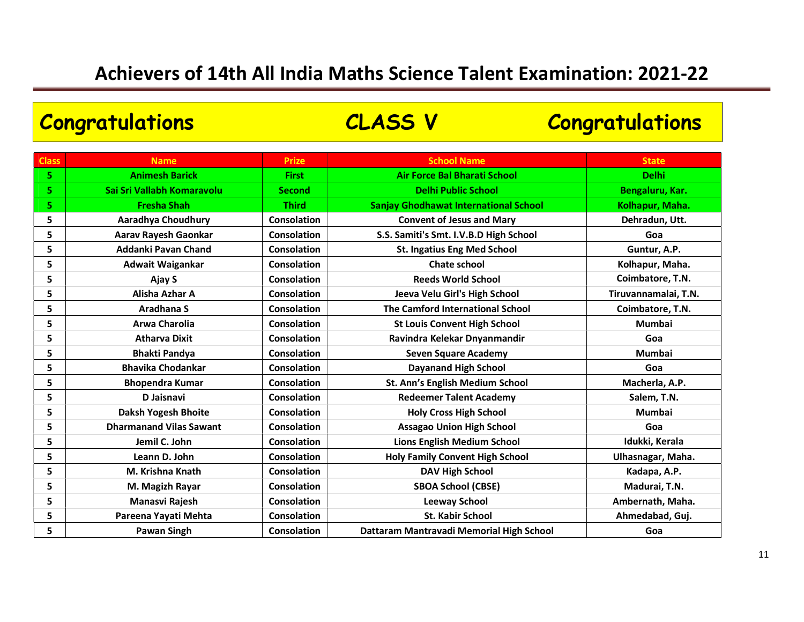Class Name Research State School Name School Name School Name School Name School Name State State State State 5 Animesh Barick First Air Force Bal Bharati School Delhi 5 Sai Sri Vallabh Komaravolu Second | Second | Delhi Public School | Bengaluru, Kar. 5 Superson Standard Shah Third Sanjay Ghodhawat International School New Kolhapur, Maha. 5 Aaradhya Choudhury Consolation Convent of Jesus and Mary Dehradun, Utt. 5 Aarav Rayesh Gaonkar Samiti's S.S. Samiti's Smt. I.V.B.D High School School Goa 5 Addanki Pavan Chand Consolation St. Ingatius Eng Med School St. Instantius Eng Med School St. Instantius Lag 5 Adwait Waigankar Consolation Consolation Chate school Chate school Chate School Kolhapur, Maha. 5 Ajay S Consolation Reeds World School Coimbatore, T.N. 5 Alisha Azhar A Consolation | Consolation | Jeeva Velu Girl's High School | Tiruvannamalai, T.N. 5 Aradhana S Consolation The Camford International School Coimbatore, T.N. 5 Arwa Charolia Consolation St Louis Convent High School Mumbai 5 Atharva Dixit Consolation Ravindra Kelekar Dnyanmandir Coasolation Ravindra Kelekar Dnyanmandir Coasolation 5 Supersyte Shakti Pandya Numbai Seven Square Academy Seven Square Academy Supersytem Studies and Mumbai Seven Square Academy 5 Bhavika Chodankar Consolation Dayanand High School Goa 5 Bhopendra Kumar St. Ann's English Medium School Nacherla, A.P. 5 D Jaisnavi Consolation Redeemer Talent Academy Salem, T.N. 5 Daksh Yogesh Bhoite Consolation Holy Cross High School Mumbai 5 Dharmanand Vilas Sawant (Consolation | Assagao Union High School | Goa 5 Supersion of Lions of Lions English Medium School and Lions English Medium School and Idukki, Kerala 5 | Leann D. John | Consolation | Holy Family Convent High School | Ulhasnagar, Maha. 5 N. Krishna Knath Consolation Consolation DAV High School Network (Radapa, A.P. 5 M. Magizh Rayar Consolation | SBOA School (CBSE) Madurai, T.N. 5 **19 Manasvi Rajesh 19 Consolation Leeway School Consolation Consolation** Leeway School 20 Ambernath, Maha. 5 Pareena Yayati Mehta Consolation | St. Kabir School | Ahmedabad, Guj. 5 Pawan Singh Consolation Dattaram Mantravadi Memorial High School Goa Congratulations CLASS V Congratulations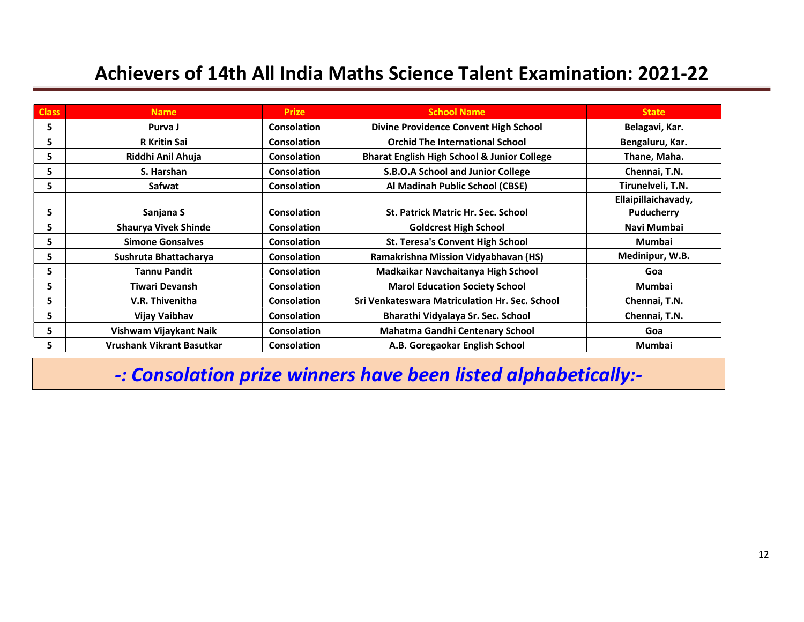| <b>Class</b> | <b>Name</b>                      | <b>Prize</b>       | <b>School Name</b>                                     | <b>State</b>        |
|--------------|----------------------------------|--------------------|--------------------------------------------------------|---------------------|
| 5            | Purva J                          | <b>Consolation</b> | Divine Providence Convent High School                  | Belagavi, Kar.      |
| 5            | <b>R</b> Kritin Sai              | Consolation        | <b>Orchid The International School</b>                 | Bengaluru, Kar.     |
| 5            | Riddhi Anil Ahuja                | <b>Consolation</b> | <b>Bharat English High School &amp; Junior College</b> | Thane, Maha.        |
| 5            | S. Harshan                       | <b>Consolation</b> | S.B.O.A School and Junior College                      | Chennai, T.N.       |
| 5            | Safwat                           | Consolation        | Al Madinah Public School (CBSE)                        | Tirunelveli, T.N.   |
|              |                                  |                    |                                                        | Ellaipillaichavady, |
| 5            | Sanjana S                        | Consolation        | <b>St. Patrick Matric Hr. Sec. School</b>              | <b>Puducherry</b>   |
| 5            | <b>Shaurya Vivek Shinde</b>      | <b>Consolation</b> | <b>Goldcrest High School</b>                           | Navi Mumbai         |
| 5            | <b>Simone Gonsalves</b>          | <b>Consolation</b> | <b>St. Teresa's Convent High School</b>                | <b>Mumbai</b>       |
| 5            | Sushruta Bhattacharya            | Consolation        | Ramakrishna Mission Vidyabhavan (HS)                   | Medinipur, W.B.     |
| 5            | <b>Tannu Pandit</b>              | <b>Consolation</b> | Madkaikar Navchaitanya High School                     | Goa                 |
| 5            | Tiwari Devansh                   | <b>Consolation</b> | <b>Marol Education Society School</b>                  | Mumbai              |
| 5            | V.R. Thivenitha                  | <b>Consolation</b> | <b>Sri Venkateswara Matriculation Hr. Sec. School</b>  | Chennai, T.N.       |
| 5            | Vijay Vaibhav                    | Consolation        | Bharathi Vidyalaya Sr. Sec. School                     | Chennai, T.N.       |
| 5            | Vishwam Vijaykant Naik           | Consolation        | <b>Mahatma Gandhi Centenary School</b>                 | Goa                 |
| 5            | <b>Vrushank Vikrant Basutkar</b> | <b>Consolation</b> | A.B. Goregaokar English School                         | <b>Mumbai</b>       |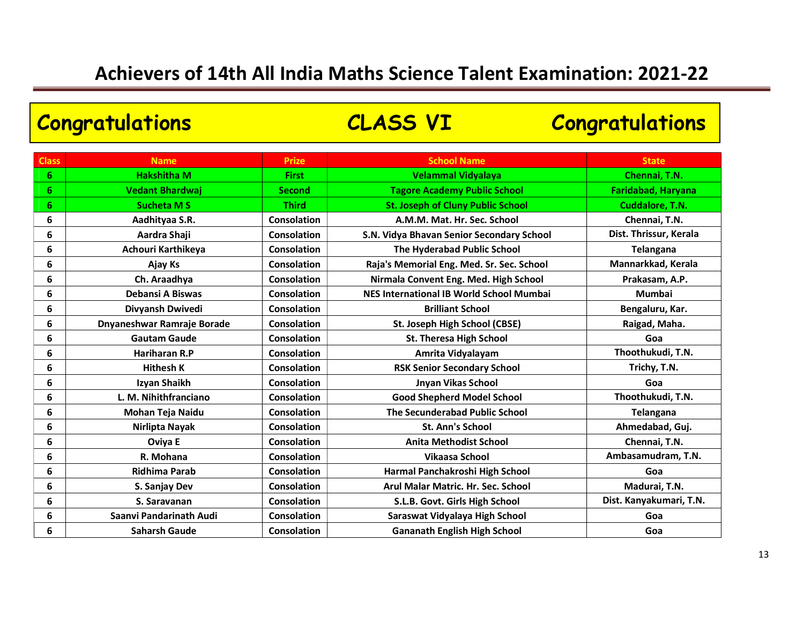Congratulations CLASS VI Congratulations

| <b>Class</b>    | <b>Name</b>                | <b>Prize</b>       | <b>School Name</b>                        | <b>State</b>              |
|-----------------|----------------------------|--------------------|-------------------------------------------|---------------------------|
| 6               | <b>Hakshitha M</b>         | <b>First</b>       | Velammal Vidyalaya                        | Chennai, T.N.             |
| $6\phantom{1}6$ | <b>Vedant Bhardwaj</b>     | <b>Second</b>      | <b>Tagore Academy Public School</b>       | <b>Faridabad, Haryana</b> |
| 6               | <b>Sucheta MS</b>          | <b>Third</b>       | <b>St. Joseph of Cluny Public School</b>  | Cuddalore, T.N.           |
| 6               | Aadhityaa S.R.             | Consolation        | A.M.M. Mat. Hr. Sec. School               | Chennai, T.N.             |
| 6               | Aardra Shaji               | Consolation        | S.N. Vidya Bhavan Senior Secondary School | Dist. Thrissur, Kerala    |
| 6               | Achouri Karthikeya         | Consolation        | The Hyderabad Public School               | <b>Telangana</b>          |
| 6               | Ajay Ks                    | <b>Consolation</b> | Raja's Memorial Eng. Med. Sr. Sec. School | Mannarkkad, Kerala        |
| 6               | Ch. Araadhya               | Consolation        | Nirmala Convent Eng. Med. High School     | Prakasam, A.P.            |
| 6               | <b>Debansi A Biswas</b>    | Consolation        | NES International IB World School Mumbai  | <b>Mumbai</b>             |
| 6               | Divyansh Dwivedi           | <b>Consolation</b> | <b>Brilliant School</b>                   | Bengaluru, Kar.           |
| 6               | Dnyaneshwar Ramraje Borade | <b>Consolation</b> | St. Joseph High School (CBSE)             | Raigad, Maha.             |
| 6               | <b>Gautam Gaude</b>        | <b>Consolation</b> | <b>St. Theresa High School</b>            | Goa                       |
| 6               | Hariharan R.P              | <b>Consolation</b> | Amrita Vidyalayam                         | Thoothukudi, T.N.         |
| 6               | <b>Hithesh K</b>           | <b>Consolation</b> | <b>RSK Senior Secondary School</b>        | Trichy, T.N.              |
| 6               | Izyan Shaikh               | <b>Consolation</b> | <b>Jnyan Vikas School</b>                 | Goa                       |
| 6               | L. M. Nihithfranciano      | Consolation        | <b>Good Shepherd Model School</b>         | Thoothukudi, T.N.         |
| 6               | Mohan Teja Naidu           | Consolation        | The Secunderabad Public School            | <b>Telangana</b>          |
| 6               | Nirlipta Nayak             | Consolation        | <b>St. Ann's School</b>                   | Ahmedabad, Guj.           |
| 6               | Oviya E                    | <b>Consolation</b> | <b>Anita Methodist School</b>             | Chennai, T.N.             |
| 6               | R. Mohana                  | <b>Consolation</b> | <b>Vikaasa School</b>                     | Ambasamudram, T.N.        |
| 6               | <b>Ridhima Parab</b>       | <b>Consolation</b> | Harmal Panchakroshi High School           | Goa                       |
| 6               | S. Sanjay Dev              | <b>Consolation</b> | Arul Malar Matric. Hr. Sec. School        | Madurai, T.N.             |
| 6               | S. Saravanan               | <b>Consolation</b> | S.L.B. Govt. Girls High School            | Dist. Kanyakumari, T.N.   |
| 6               | Saanvi Pandarinath Audi    | <b>Consolation</b> | Saraswat Vidyalaya High School            | Goa                       |
| 6               | <b>Saharsh Gaude</b>       | <b>Consolation</b> | <b>Gananath English High School</b>       | Goa                       |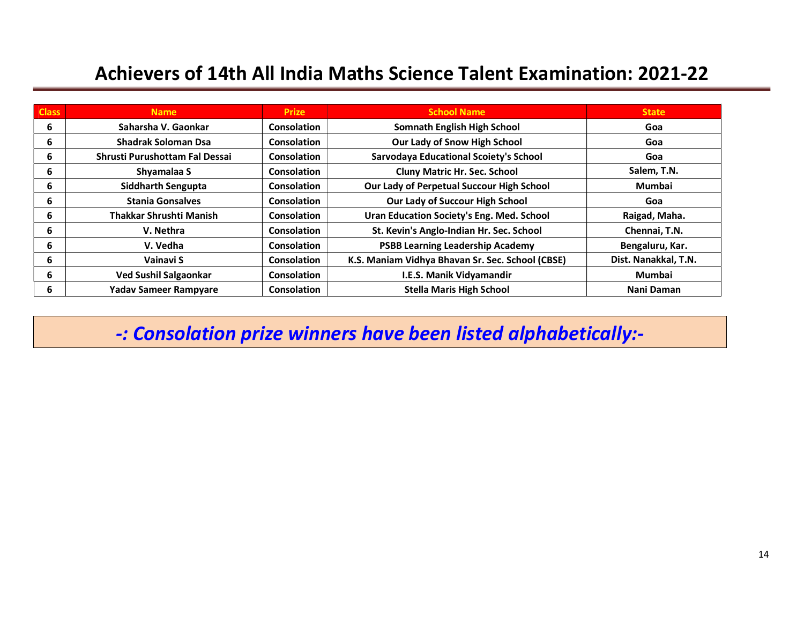| <b>Class</b> | <b>Name</b>                    | <b>Prize</b>       | <b>School Name</b>                               | State                |
|--------------|--------------------------------|--------------------|--------------------------------------------------|----------------------|
| 6            | Saharsha V. Gaonkar            | Consolation        | <b>Somnath English High School</b>               | Goa                  |
| 6            | <b>Shadrak Soloman Dsa</b>     | Consolation        | Our Lady of Snow High School                     | Goa                  |
| 6            | Shrusti Purushottam Fal Dessai | <b>Consolation</b> | <b>Sarvodaya Educational Scoiety's School</b>    | Goa                  |
| 6            | Shyamalaa S                    | <b>Consolation</b> | <b>Cluny Matric Hr. Sec. School</b>              | Salem, T.N.          |
| 6            | <b>Siddharth Sengupta</b>      | Consolation        | Our Lady of Perpetual Succour High School        | <b>Mumbai</b>        |
| 6            | <b>Stania Gonsalves</b>        | <b>Consolation</b> | Our Lady of Succour High School                  | Goa                  |
| 6            | <b>Thakkar Shrushti Manish</b> | Consolation        | Uran Education Society's Eng. Med. School        | Raigad, Maha.        |
| 6            | V. Nethra                      | Consolation        | St. Kevin's Anglo-Indian Hr. Sec. School         | Chennai, T.N.        |
| 6            | V. Vedha                       | <b>Consolation</b> | <b>PSBB Learning Leadership Academy</b>          | Bengaluru, Kar.      |
| 6            | Vainavi S                      | <b>Consolation</b> | K.S. Maniam Vidhya Bhavan Sr. Sec. School (CBSE) | Dist. Nanakkal, T.N. |
| 6            | <b>Ved Sushil Salgaonkar</b>   | Consolation        | I.E.S. Manik Vidyamandir                         | <b>Mumbai</b>        |
| 6            | <b>Yadav Sameer Rampyare</b>   | Consolation        | <b>Stella Maris High School</b>                  | Nani Daman           |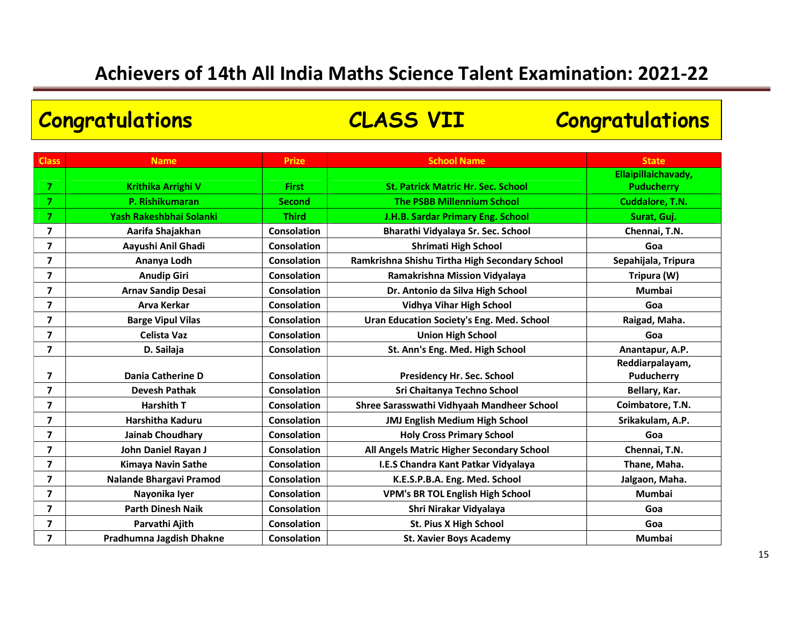# Congratulations CLASS VII Congratulations

| <b>Class</b>            | <b>Name</b>                    | <b>Prize</b>       | <b>School Name</b>                             | <b>State</b>        |
|-------------------------|--------------------------------|--------------------|------------------------------------------------|---------------------|
|                         |                                |                    |                                                | Ellaipillaichavady, |
| 7                       | Krithika Arrighi V             | <b>First</b>       | <b>St. Patrick Matric Hr. Sec. School</b>      | <b>Puducherry</b>   |
| 7                       | P. Rishikumaran                | <b>Second</b>      | <b>The PSBB Millennium School</b>              | Cuddalore, T.N.     |
| $\overline{7}$          | Yash Rakeshbhai Solanki        | <b>Third</b>       | J.H.B. Sardar Primary Eng. School              | Surat, Guj.         |
| $\overline{\mathbf{z}}$ | Aarifa Shajakhan               | <b>Consolation</b> | Bharathi Vidyalaya Sr. Sec. School             | Chennai, T.N.       |
| $\overline{\mathbf{z}}$ | Aayushi Anil Ghadi             | <b>Consolation</b> | <b>Shrimati High School</b>                    | Goa                 |
| $\overline{\mathbf{z}}$ | Ananya Lodh                    | <b>Consolation</b> | Ramkrishna Shishu Tirtha High Secondary School | Sepahijala, Tripura |
| $\overline{\mathbf{z}}$ | <b>Anudip Giri</b>             | <b>Consolation</b> | Ramakrishna Mission Vidyalaya                  | Tripura (W)         |
| $\overline{7}$          | <b>Arnav Sandip Desai</b>      | <b>Consolation</b> | Dr. Antonio da Silva High School               | <b>Mumbai</b>       |
| $\overline{\mathbf{z}}$ | <b>Arva Kerkar</b>             | <b>Consolation</b> | <b>Vidhya Vihar High School</b>                | Goa                 |
| $\overline{\mathbf{z}}$ | <b>Barge Vipul Vilas</b>       | <b>Consolation</b> | Uran Education Society's Eng. Med. School      | Raigad, Maha.       |
| $\overline{\mathbf{z}}$ | <b>Celista Vaz</b>             | <b>Consolation</b> | <b>Union High School</b>                       | Goa                 |
| $\overline{\mathbf{z}}$ | D. Sailaja                     | Consolation        | St. Ann's Eng. Med. High School                | Anantapur, A.P.     |
|                         |                                |                    |                                                | Reddiarpalayam,     |
| $\overline{\mathbf{z}}$ | Dania Catherine D              | <b>Consolation</b> | Presidency Hr. Sec. School                     | Puducherry          |
| $\overline{\mathbf{z}}$ | <b>Devesh Pathak</b>           | Consolation        | Sri Chaitanya Techno School                    | Bellary, Kar.       |
| $\overline{\mathbf{z}}$ | <b>Harshith T</b>              | <b>Consolation</b> | Shree Sarasswathi Vidhyaah Mandheer School     | Coimbatore, T.N.    |
| $\overline{\mathbf{z}}$ | Harshitha Kaduru               | <b>Consolation</b> | <b>JMJ English Medium High School</b>          | Srikakulam, A.P.    |
| $\overline{\mathbf{z}}$ | <b>Jainab Choudhary</b>        | <b>Consolation</b> | <b>Holy Cross Primary School</b>               | Goa                 |
| $\overline{\mathbf{z}}$ | John Daniel Rayan J            | <b>Consolation</b> | All Angels Matric Higher Secondary School      | Chennai, T.N.       |
| $\overline{\mathbf{z}}$ | <b>Kimaya Navin Sathe</b>      | <b>Consolation</b> | I.E.S Chandra Kant Patkar Vidyalaya            | Thane, Maha.        |
| $\overline{\mathbf{z}}$ | <b>Nalande Bhargavi Pramod</b> | <b>Consolation</b> | K.E.S.P.B.A. Eng. Med. School                  | Jalgaon, Maha.      |
| $\overline{\mathbf{z}}$ | Nayonika Iyer                  | <b>Consolation</b> | <b>VPM's BR TOL English High School</b>        | <b>Mumbai</b>       |
| $\overline{\mathbf{z}}$ | <b>Parth Dinesh Naik</b>       | <b>Consolation</b> | Shri Nirakar Vidyalaya                         | Goa                 |
| $\overline{\mathbf{z}}$ | Parvathi Ajith                 | <b>Consolation</b> | <b>St. Pius X High School</b>                  | Goa                 |
| $\overline{7}$          | Pradhumna Jagdish Dhakne       | Consolation        | <b>St. Xavier Boys Academy</b>                 | Mumbai              |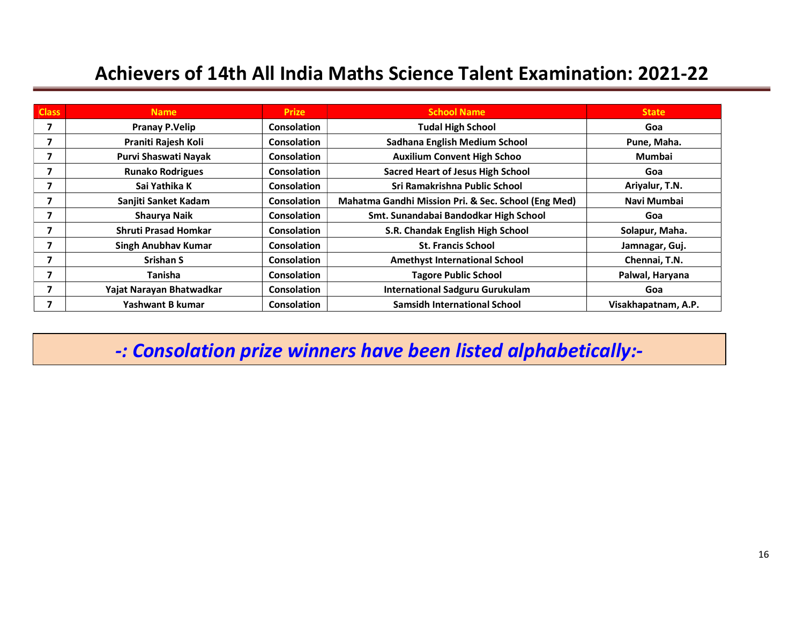| <b>Class</b> | <b>Name</b>                 | <b>Prize</b>       | <b>School Name</b>                                  | <b>State</b>        |
|--------------|-----------------------------|--------------------|-----------------------------------------------------|---------------------|
| 7            | <b>Pranay P.Velip</b>       | <b>Consolation</b> | <b>Tudal High School</b>                            | Goa                 |
|              | Praniti Rajesh Koli         | Consolation        | Sadhana English Medium School                       | Pune, Maha.         |
|              | Purvi Shaswati Nayak        | <b>Consolation</b> | <b>Auxilium Convent High Schoo</b>                  | Mumbai              |
|              | <b>Runako Rodrigues</b>     | <b>Consolation</b> | <b>Sacred Heart of Jesus High School</b>            | Goa                 |
|              | Sai Yathika K               | <b>Consolation</b> | Sri Ramakrishna Public School                       | Ariyalur, T.N.      |
|              | Sanjiti Sanket Kadam        | Consolation        | Mahatma Gandhi Mission Pri. & Sec. School (Eng Med) | Navi Mumbai         |
|              | Shaurya Naik                | Consolation        | Smt. Sunandabai Bandodkar High School               | Goa                 |
|              | <b>Shruti Prasad Homkar</b> | <b>Consolation</b> | S.R. Chandak English High School                    | Solapur, Maha.      |
|              | Singh Anubhav Kumar         | <b>Consolation</b> | <b>St. Francis School</b>                           | Jamnagar, Guj.      |
|              | <b>Srishan S</b>            | Consolation        | <b>Amethyst International School</b>                | Chennai, T.N.       |
|              | <b>Tanisha</b>              | <b>Consolation</b> | <b>Tagore Public School</b>                         | Palwal, Haryana     |
|              | Yajat Narayan Bhatwadkar    | <b>Consolation</b> | <b>International Sadguru Gurukulam</b>              | Goa                 |
|              | Yashwant B kumar            | Consolation        | <b>Samsidh International School</b>                 | Visakhapatnam, A.P. |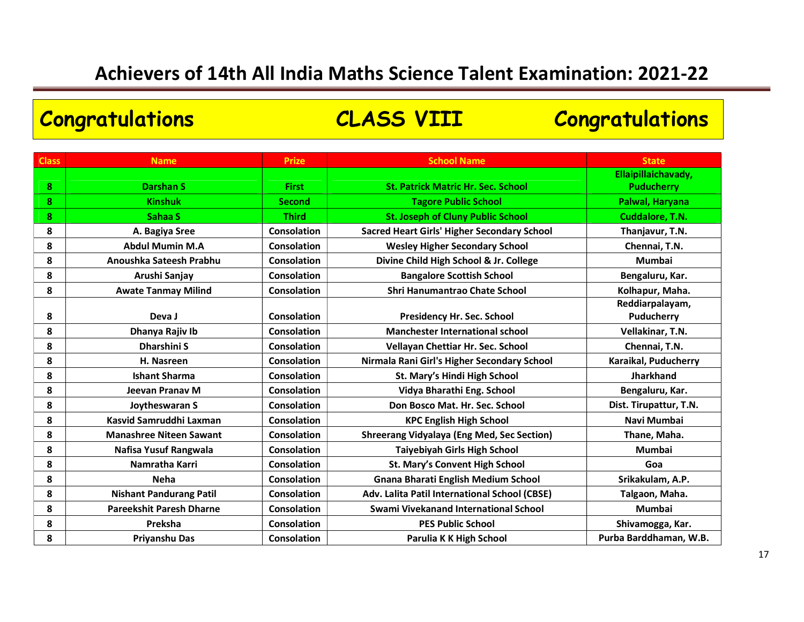# Congratulations CLASS VIII Congratulations

| <b>Class</b> | <b>Name</b>                     | <b>Prize</b>       | <b>School Name</b>                                 | <b>State</b>                  |
|--------------|---------------------------------|--------------------|----------------------------------------------------|-------------------------------|
|              |                                 |                    |                                                    | Ellaipillaichavady,           |
| 8            | <b>Darshan S</b>                | <b>First</b>       | <b>St. Patrick Matric Hr. Sec. School</b>          | <b>Puducherry</b>             |
| 8            | <b>Kinshuk</b>                  | <b>Second</b>      | <b>Tagore Public School</b>                        | Palwal, Haryana               |
| 8            | Sahaa S                         | <b>Third</b>       | <b>St. Joseph of Cluny Public School</b>           | Cuddalore, T.N.               |
| 8            | A. Bagiya Sree                  | <b>Consolation</b> | <b>Sacred Heart Girls' Higher Secondary School</b> | Thanjavur, T.N.               |
| 8            | <b>Abdul Mumin M.A</b>          | <b>Consolation</b> | <b>Wesley Higher Secondary School</b>              | Chennai, T.N.                 |
| 8            | Anoushka Sateesh Prabhu         | <b>Consolation</b> | Divine Child High School & Jr. College             | <b>Mumbai</b>                 |
| 8            | Arushi Sanjay                   | <b>Consolation</b> | <b>Bangalore Scottish School</b>                   | Bengaluru, Kar.               |
| 8            | <b>Awate Tanmay Milind</b>      | <b>Consolation</b> | Shri Hanumantrao Chate School                      | Kolhapur, Maha.               |
| 8            | Deva J                          | <b>Consolation</b> | <b>Presidency Hr. Sec. School</b>                  | Reddiarpalayam,<br>Puducherry |
| 8            | Dhanya Rajiv Ib                 | <b>Consolation</b> | <b>Manchester International school</b>             | Vellakinar, T.N.              |
| 8            | <b>Dharshini S</b>              | <b>Consolation</b> | Vellayan Chettiar Hr. Sec. School                  | Chennai, T.N.                 |
| 8            | H. Nasreen                      | <b>Consolation</b> | Nirmala Rani Girl's Higher Secondary School        | Karaikal, Puducherry          |
| 8            | <b>Ishant Sharma</b>            | Consolation        | St. Mary's Hindi High School                       | <b>Jharkhand</b>              |
| 8            | Jeevan Pranay M                 | <b>Consolation</b> | Vidya Bharathi Eng. School                         | Bengaluru, Kar.               |
| 8            | Joytheswaran S                  | <b>Consolation</b> | Don Bosco Mat. Hr. Sec. School                     | Dist. Tirupattur, T.N.        |
| 8            | Kasvid Samruddhi Laxman         | <b>Consolation</b> | <b>KPC English High School</b>                     | Navi Mumbai                   |
| 8            | <b>Manashree Niteen Sawant</b>  | <b>Consolation</b> | <b>Shreerang Vidyalaya (Eng Med, Sec Section)</b>  | Thane, Maha.                  |
| 8            | Nafisa Yusuf Rangwala           | Consolation        | Taiyebiyah Girls High School                       | <b>Mumbai</b>                 |
| 8            | Namratha Karri                  | Consolation        | <b>St. Mary's Convent High School</b>              | Goa                           |
| 8            | <b>Neha</b>                     | Consolation        | <b>Gnana Bharati English Medium School</b>         | Srikakulam, A.P.              |
| 8            | <b>Nishant Pandurang Patil</b>  | <b>Consolation</b> | Adv. Lalita Patil International School (CBSE)      | Talgaon, Maha.                |
| 8            | <b>Pareekshit Paresh Dharne</b> | Consolation        | Swami Vivekanand International School              | <b>Mumbai</b>                 |
| 8            | Preksha                         | <b>Consolation</b> | <b>PES Public School</b>                           | Shivamogga, Kar.              |
| 8            | Priyanshu Das                   | <b>Consolation</b> | Parulia K K High School                            | Purba Barddhaman, W.B.        |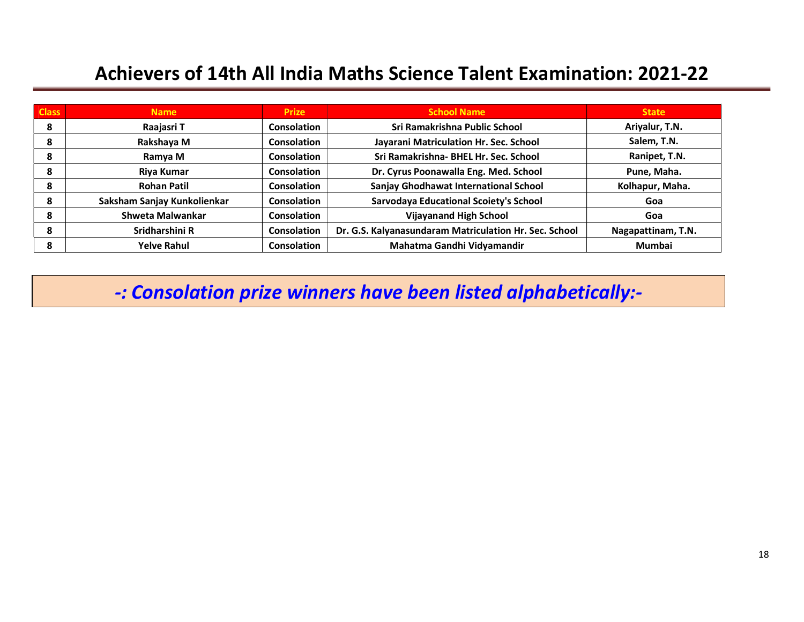| <b>Class</b> | <b>Name</b>                 | <b>Prize</b>       | <b>School Name</b>                                     | <b>State</b>       |
|--------------|-----------------------------|--------------------|--------------------------------------------------------|--------------------|
| 8            | Raajasri T                  | <b>Consolation</b> | Sri Ramakrishna Public School                          | Ariyalur, T.N.     |
| 8            | Rakshaya M                  | Consolation        | Jayarani Matriculation Hr. Sec. School                 | Salem, T.N.        |
| 8            | Ramya M                     | Consolation        | Sri Ramakrishna- BHEL Hr. Sec. School                  | Ranipet, T.N.      |
| 8            | Riya Kumar                  | <b>Consolation</b> | Dr. Cyrus Poonawalla Eng. Med. School                  | Pune, Maha.        |
| 8            | <b>Rohan Patil</b>          | Consolation        | <b>Sanjay Ghodhawat International School</b>           | Kolhapur, Maha.    |
| 8            | Saksham Sanjay Kunkolienkar | Consolation        | <b>Sarvodaya Educational Scoiety's School</b>          | Goa                |
| 8            | Shweta Malwankar            | <b>Consolation</b> | <b>Vijayanand High School</b>                          | Goa                |
| 8            | Sridharshini R              | <b>Consolation</b> | Dr. G.S. Kalyanasundaram Matriculation Hr. Sec. School | Nagapattinam, T.N. |
| 8            | <b>Yelve Rahul</b>          | <b>Consolation</b> | Mahatma Gandhi Vidyamandir                             | <b>Mumbai</b>      |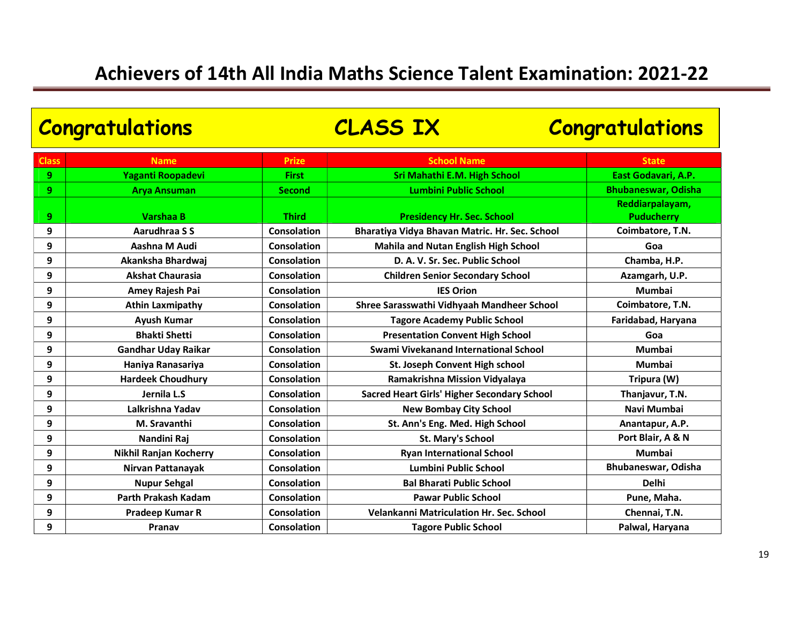| <b>Congratulations</b> |                               |                    | <b>CLASS IX</b>                                    | <b>Congratulations</b>               |  |
|------------------------|-------------------------------|--------------------|----------------------------------------------------|--------------------------------------|--|
| <b>Class</b>           | <b>Name</b>                   | <b>Prize</b>       | <b>School Name</b>                                 | <b>State</b>                         |  |
| 9                      | Yaganti Roopadevi             | <b>First</b>       | <b>Sri Mahathi E.M. High School</b>                | East Godavari, A.P.                  |  |
| 9                      | <b>Arya Ansuman</b>           | <b>Second</b>      | <b>Lumbini Public School</b>                       | <b>Bhubaneswar, Odisha</b>           |  |
| 9                      | <b>Varshaa B</b>              | <b>Third</b>       | <b>Presidency Hr. Sec. School</b>                  | Reddiarpalayam,<br><b>Puducherry</b> |  |
| 9                      | Aarudhraa S S                 | Consolation        | Bharatiya Vidya Bhavan Matric. Hr. Sec. School     | Coimbatore, T.N.                     |  |
| 9                      | Aashna M Audi                 | Consolation        | <b>Mahila and Nutan English High School</b>        | Goa                                  |  |
| 9                      | Akanksha Bhardwaj             | Consolation        | D. A. V. Sr. Sec. Public School                    | Chamba, H.P.                         |  |
| 9                      | <b>Akshat Chaurasia</b>       | Consolation        | <b>Children Senior Secondary School</b>            | Azamgarh, U.P.                       |  |
| 9                      | Amey Rajesh Pai               | <b>Consolation</b> | <b>IES Orion</b>                                   | Mumbai                               |  |
| 9                      | <b>Athin Laxmipathy</b>       | Consolation        | Shree Sarasswathi Vidhyaah Mandheer School         | Coimbatore, T.N.                     |  |
| 9                      | <b>Ayush Kumar</b>            | <b>Consolation</b> | <b>Tagore Academy Public School</b>                | Faridabad, Haryana                   |  |
| 9                      | <b>Bhakti Shetti</b>          | Consolation        | <b>Presentation Convent High School</b>            | Goa                                  |  |
| 9                      | <b>Gandhar Uday Raikar</b>    | <b>Consolation</b> | Swami Vivekanand International School              | <b>Mumbai</b>                        |  |
| 9                      | Haniya Ranasariya             | <b>Consolation</b> | St. Joseph Convent High school                     | <b>Mumbai</b>                        |  |
| 9                      | <b>Hardeek Choudhury</b>      | Consolation        | Ramakrishna Mission Vidyalaya                      | Tripura (W)                          |  |
| 9                      | Jernila L.S                   | Consolation        | <b>Sacred Heart Girls' Higher Secondary School</b> | Thanjavur, T.N.                      |  |
| 9                      | Lalkrishna Yadav              | Consolation        | <b>New Bombay City School</b>                      | Navi Mumbai                          |  |
| 9                      | M. Sravanthi                  | Consolation        | St. Ann's Eng. Med. High School                    | Anantapur, A.P.                      |  |
| 9                      | Nandini Raj                   | Consolation        | St. Mary's School                                  | Port Blair, A & N                    |  |
| 9                      | <b>Nikhil Ranjan Kocherry</b> | <b>Consolation</b> | <b>Ryan International School</b>                   | <b>Mumbai</b>                        |  |
| 9                      | Nirvan Pattanayak             | <b>Consolation</b> | Lumbini Public School                              | Bhubaneswar, Odisha                  |  |
| 9                      | <b>Nupur Sehgal</b>           | Consolation        | <b>Bal Bharati Public School</b>                   | <b>Delhi</b>                         |  |
| 9                      | Parth Prakash Kadam           | Consolation        | <b>Pawar Public School</b>                         | Pune, Maha.                          |  |
| 9                      | Pradeep Kumar R               | <b>Consolation</b> | Velankanni Matriculation Hr. Sec. School           | Chennai, T.N.                        |  |
| 9                      | Pranav                        | Consolation        | <b>Tagore Public School</b>                        | Palwal, Haryana                      |  |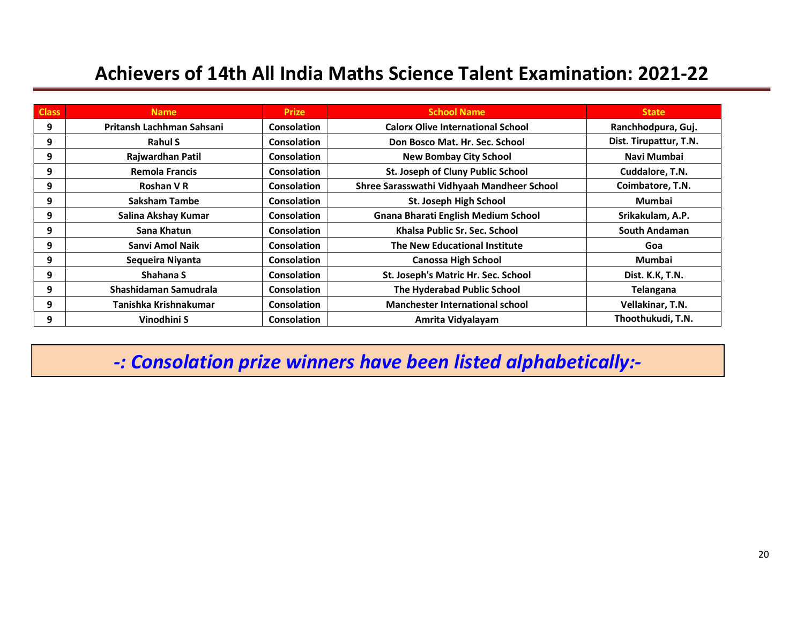| <b>Class</b> | <b>Name</b>               | <b>Prize</b>       | <b>School Name</b>                         | <b>State</b>           |
|--------------|---------------------------|--------------------|--------------------------------------------|------------------------|
| 9            | Pritansh Lachhman Sahsani | <b>Consolation</b> | <b>Calorx Olive International School</b>   | Ranchhodpura, Guj.     |
| 9            | <b>Rahul S</b>            | <b>Consolation</b> | Don Bosco Mat. Hr. Sec. School             | Dist. Tirupattur, T.N. |
| 9            | Rajwardhan Patil          | <b>Consolation</b> | <b>New Bombay City School</b>              | Navi Mumbai            |
| 9            | <b>Remola Francis</b>     | Consolation        | St. Joseph of Cluny Public School          | Cuddalore, T.N.        |
| 9            | Roshan V R                | <b>Consolation</b> | Shree Sarasswathi Vidhyaah Mandheer School | Coimbatore, T.N.       |
| 9            | <b>Saksham Tambe</b>      | <b>Consolation</b> | St. Joseph High School                     | <b>Mumbai</b>          |
| 9            | Salina Akshay Kumar       | <b>Consolation</b> | <b>Gnana Bharati English Medium School</b> | Srikakulam, A.P.       |
| 9            | Sana Khatun               | Consolation        | Khalsa Public Sr. Sec. School              | South Andaman          |
| 9            | Sanvi Amol Naik           | <b>Consolation</b> | The New Educational Institute              | Goa                    |
| 9            | Sequeira Niyanta          | <b>Consolation</b> | <b>Canossa High School</b>                 | Mumbai                 |
| 9            | Shahana S                 | <b>Consolation</b> | St. Joseph's Matric Hr. Sec. School        | Dist. K.K, T.N.        |
| 9            | Shashidaman Samudrala     | Consolation        | The Hyderabad Public School                | Telangana              |
| 9            | Tanishka Krishnakumar     | <b>Consolation</b> | <b>Manchester International school</b>     | Vellakinar, T.N.       |
| 9            | Vinodhini S               | <b>Consolation</b> | Amrita Vidyalayam                          | Thoothukudi, T.N.      |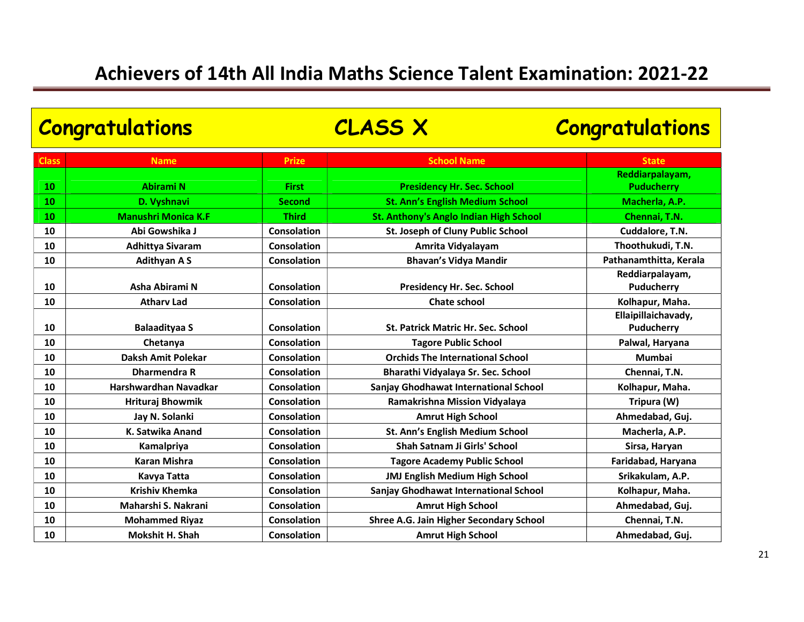| <b>Congratulations</b> |                            | <b>CLASS X</b>     |                                                | <b>Congratulations</b>        |
|------------------------|----------------------------|--------------------|------------------------------------------------|-------------------------------|
| <b>Class</b>           | <b>Name</b>                | <b>Prize</b>       | <b>School Name</b>                             | <b>State</b>                  |
|                        |                            |                    |                                                | Reddiarpalayam,               |
| 10                     | <b>Abirami N</b>           | <b>First</b>       | <b>Presidency Hr. Sec. School</b>              | <b>Puducherry</b>             |
| 10                     | D. Vyshnavi                | <b>Second</b>      | <b>St. Ann's English Medium School</b>         | Macherla, A.P.                |
| 10                     | <b>Manushri Monica K.F</b> | <b>Third</b>       | <b>St. Anthony's Anglo Indian High School</b>  | Chennai, T.N.                 |
| 10                     | Abi Gowshika J             | <b>Consolation</b> | St. Joseph of Cluny Public School              | Cuddalore, T.N.               |
| 10                     | <b>Adhittya Sivaram</b>    | <b>Consolation</b> | Amrita Vidyalayam                              | Thoothukudi, T.N.             |
| 10                     | <b>Adithyan AS</b>         | <b>Consolation</b> | <b>Bhavan's Vidya Mandir</b>                   | Pathanamthitta, Kerala        |
| 10                     | Asha Abirami N             | <b>Consolation</b> | Presidency Hr. Sec. School                     | Reddiarpalayam,<br>Puducherry |
| 10                     | <b>Athary Lad</b>          | Consolation        | <b>Chate school</b>                            | Kolhapur, Maha.               |
|                        |                            |                    |                                                | Ellaipillaichavady,           |
| 10                     | <b>Balaadityaa S</b>       | Consolation        | St. Patrick Matric Hr. Sec. School             | Puducherry                    |
| 10                     | Chetanya                   | <b>Consolation</b> | <b>Tagore Public School</b>                    | Palwal, Haryana               |
| 10                     | Daksh Amit Polekar         | Consolation        | <b>Orchids The International School</b>        | <b>Mumbai</b>                 |
| 10                     | <b>Dharmendra R</b>        | Consolation        | Bharathi Vidyalaya Sr. Sec. School             | Chennai, T.N.                 |
| 10                     | Harshwardhan Navadkar      | <b>Consolation</b> | Sanjay Ghodhawat International School          | Kolhapur, Maha.               |
| 10                     | Hrituraj Bhowmik           | Consolation        | Ramakrishna Mission Vidyalaya                  | Tripura (W)                   |
| 10                     | Jay N. Solanki             | Consolation        | <b>Amrut High School</b>                       | Ahmedabad, Guj.               |
| 10                     | K. Satwika Anand           | <b>Consolation</b> | St. Ann's English Medium School                | Macherla, A.P.                |
| 10                     | Kamalpriya                 | <b>Consolation</b> | Shah Satnam Ji Girls' School                   | Sirsa, Haryan                 |
| 10                     | <b>Karan Mishra</b>        | Consolation        | <b>Tagore Academy Public School</b>            | Faridabad, Haryana            |
| 10                     | Kavya Tatta                | Consolation        | <b>JMJ English Medium High School</b>          | Srikakulam, A.P.              |
| 10                     | <b>Krishiv Khemka</b>      | <b>Consolation</b> | Sanjay Ghodhawat International School          | Kolhapur, Maha.               |
| 10                     | Maharshi S. Nakrani        | Consolation        | <b>Amrut High School</b>                       | Ahmedabad, Guj.               |
| 10                     | <b>Mohammed Riyaz</b>      | Consolation        | <b>Shree A.G. Jain Higher Secondary School</b> | Chennai, T.N.                 |
| 10                     | <b>Mokshit H. Shah</b>     | <b>Consolation</b> | <b>Amrut High School</b>                       | Ahmedabad, Guj.               |
|                        |                            |                    |                                                |                               |